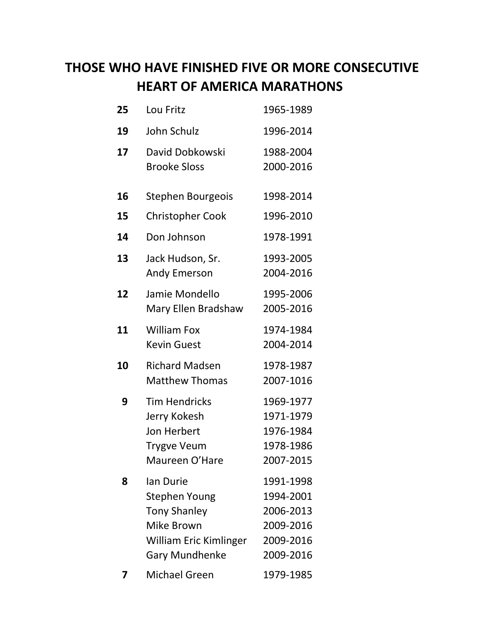## **THOSE WHO HAVE FINISHED FIVE OR MORE CONSECUTIVE HEART OF AMERICA MARATHONS**

| 25 | Lou Fritz                                                                                                                        | 1965-1989                                                                  |
|----|----------------------------------------------------------------------------------------------------------------------------------|----------------------------------------------------------------------------|
| 19 | John Schulz                                                                                                                      | 1996-2014                                                                  |
| 17 | David Dobkowski<br><b>Brooke Sloss</b>                                                                                           | 1988-2004<br>2000-2016                                                     |
| 16 | Stephen Bourgeois                                                                                                                | 1998-2014                                                                  |
| 15 | <b>Christopher Cook</b>                                                                                                          | 1996-2010                                                                  |
| 14 | Don Johnson                                                                                                                      | 1978-1991                                                                  |
| 13 | Jack Hudson, Sr.<br><b>Andy Emerson</b>                                                                                          | 1993-2005<br>2004-2016                                                     |
| 12 | Jamie Mondello<br>Mary Ellen Bradshaw                                                                                            | 1995-2006<br>2005-2016                                                     |
| 11 | <b>William Fox</b><br><b>Kevin Guest</b>                                                                                         | 1974-1984<br>2004-2014                                                     |
| 10 | <b>Richard Madsen</b><br><b>Matthew Thomas</b>                                                                                   | 1978-1987<br>2007-1016                                                     |
| 9  | <b>Tim Hendricks</b><br>Jerry Kokesh<br>Jon Herbert<br><b>Trygve Veum</b><br>Maureen O'Hare                                      | 1969-1977<br>1971-1979<br>1976-1984<br>1978-1986<br>2007-2015              |
| 8  | lan Durie<br><b>Stephen Young</b><br><b>Tony Shanley</b><br>Mike Brown<br><b>William Eric Kimlinger</b><br><b>Gary Mundhenke</b> | 1991-1998<br>1994-2001<br>2006-2013<br>2009-2016<br>2009-2016<br>2009-2016 |
|    | <b>Michael Green</b>                                                                                                             | 1979-1985                                                                  |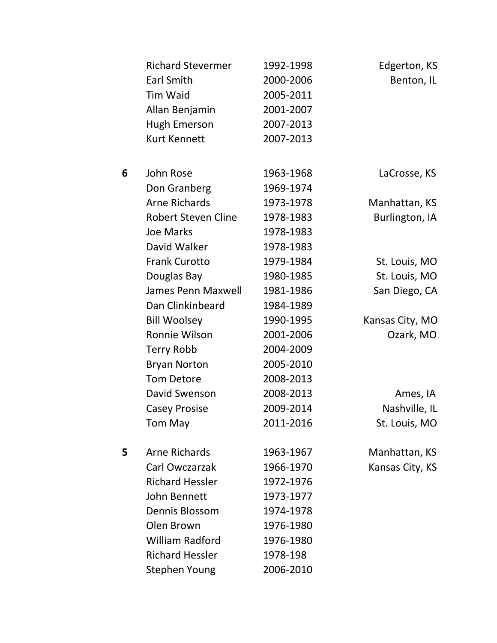|   | <b>Richard Stevermer</b>   | 1992-1998 | Edgerton, KS    |
|---|----------------------------|-----------|-----------------|
|   | <b>Earl Smith</b>          | 2000-2006 | Benton, IL      |
|   | <b>Tim Waid</b>            | 2005-2011 |                 |
|   | Allan Benjamin             | 2001-2007 |                 |
|   | <b>Hugh Emerson</b>        | 2007-2013 |                 |
|   | <b>Kurt Kennett</b>        | 2007-2013 |                 |
| 6 | John Rose                  | 1963-1968 | LaCrosse, KS    |
|   | Don Granberg               | 1969-1974 |                 |
|   | <b>Arne Richards</b>       | 1973-1978 | Manhattan, KS   |
|   | <b>Robert Steven Cline</b> | 1978-1983 | Burlington, IA  |
|   | <b>Joe Marks</b>           | 1978-1983 |                 |
|   | David Walker               | 1978-1983 |                 |
|   | <b>Frank Curotto</b>       | 1979-1984 | St. Louis, MO   |
|   | Douglas Bay                | 1980-1985 | St. Louis, MO   |
|   | <b>James Penn Maxwell</b>  | 1981-1986 | San Diego, CA   |
|   | Dan Clinkinbeard           | 1984-1989 |                 |
|   | <b>Bill Woolsey</b>        | 1990-1995 | Kansas City, MO |
|   | Ronnie Wilson              | 2001-2006 | Ozark, MO       |
|   | <b>Terry Robb</b>          | 2004-2009 |                 |
|   | <b>Bryan Norton</b>        | 2005-2010 |                 |
|   | <b>Tom Detore</b>          | 2008-2013 |                 |
|   | David Swenson              | 2008-2013 | Ames, IA        |
|   | <b>Casey Prosise</b>       | 2009-2014 | Nashville, IL   |
|   | Tom May                    | 2011-2016 | St. Louis, MO   |
| 5 | <b>Arne Richards</b>       | 1963-1967 | Manhattan, KS   |
|   | Carl Owczarzak             | 1966-1970 | Kansas City, KS |
|   | <b>Richard Hessler</b>     | 1972-1976 |                 |
|   | John Bennett               | 1973-1977 |                 |
|   | Dennis Blossom             | 1974-1978 |                 |
|   | Olen Brown                 | 1976-1980 |                 |
|   | <b>William Radford</b>     | 1976-1980 |                 |
|   | <b>Richard Hessler</b>     | 1978-198  |                 |
|   | <b>Stephen Young</b>       | 2006-2010 |                 |